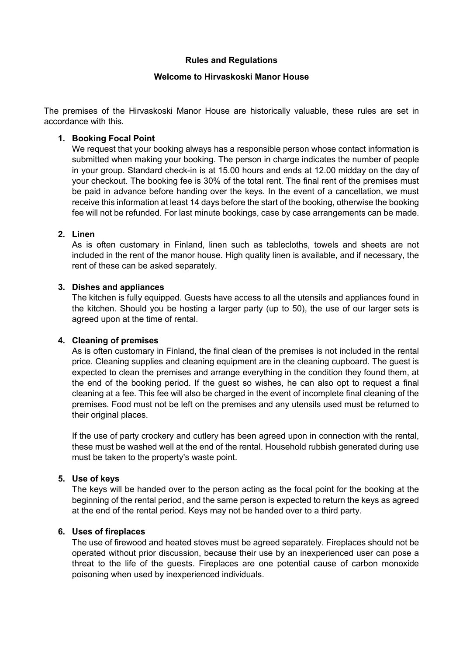#### **Rules and Regulations**

#### **Welcome to Hirvaskoski Manor House**

The premises of the Hirvaskoski Manor House are historically valuable, these rules are set in accordance with this.

### **1. Booking Focal Point**

We request that your booking always has a responsible person whose contact information is submitted when making your booking. The person in charge indicates the number of people in your group. Standard check-in is at 15.00 hours and ends at 12.00 midday on the day of your checkout. The booking fee is 30% of the total rent. The final rent of the premises must be paid in advance before handing over the keys. In the event of a cancellation, we must receive this information at least 14 days before the start of the booking, otherwise the booking fee will not be refunded. For last minute bookings, case by case arrangements can be made.

## **2. Linen**

As is often customary in Finland, linen such as tablecloths, towels and sheets are not included in the rent of the manor house. High quality linen is available, and if necessary, the rent of these can be asked separately.

## **3. Dishes and appliances**

The kitchen is fully equipped. Guests have access to all the utensils and appliances found in the kitchen. Should you be hosting a larger party (up to 50), the use of our larger sets is agreed upon at the time of rental.

#### **4. Cleaning of premises**

As is often customary in Finland, the final clean of the premises is not included in the rental price. Cleaning supplies and cleaning equipment are in the cleaning cupboard. The guest is expected to clean the premises and arrange everything in the condition they found them, at the end of the booking period. If the guest so wishes, he can also opt to request a final cleaning at a fee. This fee will also be charged in the event of incomplete final cleaning of the premises. Food must not be left on the premises and any utensils used must be returned to their original places.

If the use of party crockery and cutlery has been agreed upon in connection with the rental, these must be washed well at the end of the rental. Household rubbish generated during use must be taken to the property's waste point.

#### **5. Use of keys**

The keys will be handed over to the person acting as the focal point for the booking at the beginning of the rental period, and the same person is expected to return the keys as agreed at the end of the rental period. Keys may not be handed over to a third party.

#### **6. Uses of fireplaces**

The use of firewood and heated stoves must be agreed separately. Fireplaces should not be operated without prior discussion, because their use by an inexperienced user can pose a threat to the life of the guests. Fireplaces are one potential cause of carbon monoxide poisoning when used by inexperienced individuals.